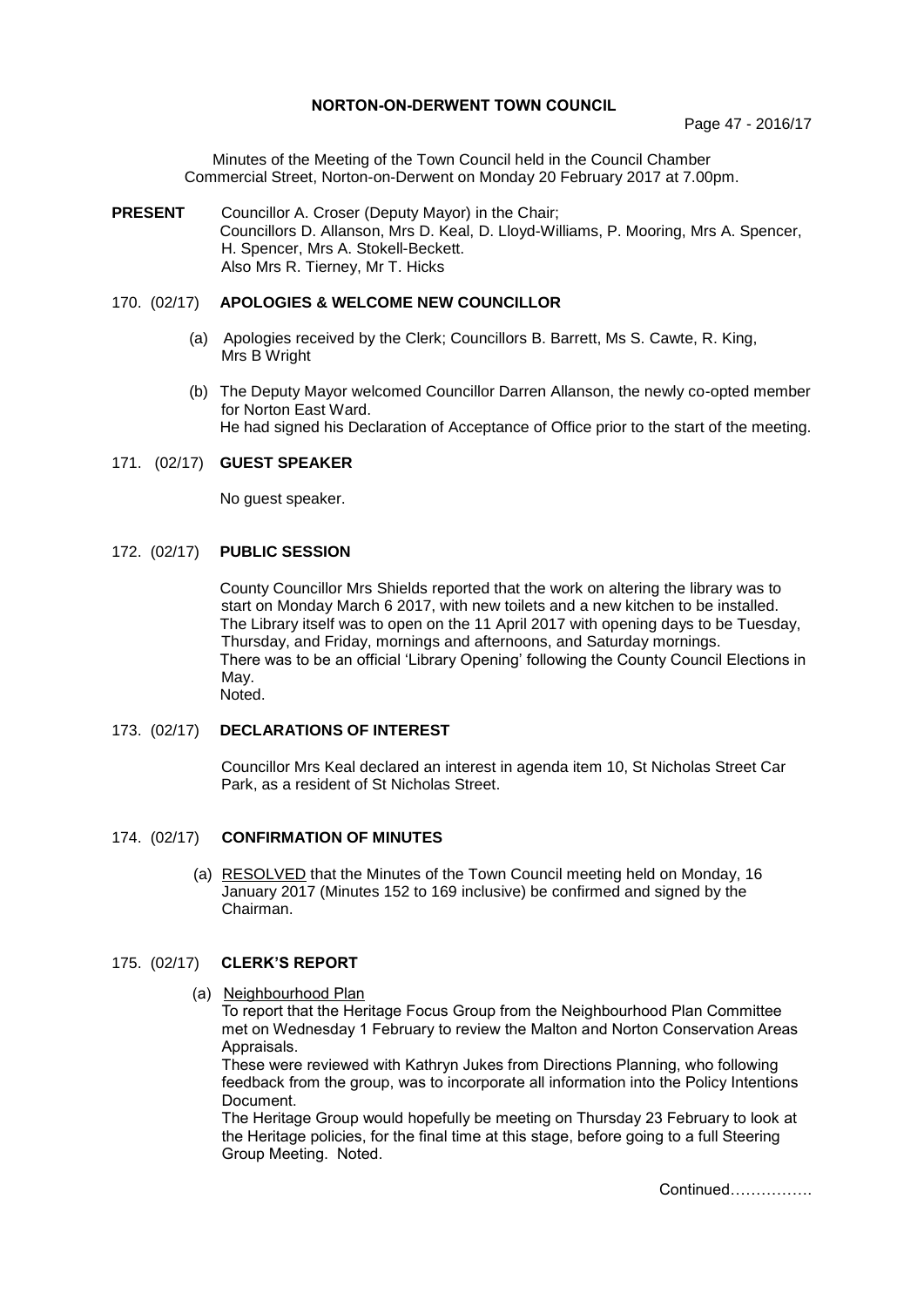### **NORTON-ON-DERWENT TOWN COUNCIL**

Minutes of the Meeting of the Town Council held in the Council Chamber Commercial Street, Norton-on-Derwent on Monday 20 February 2017 at 7.00pm.

**PRESENT** Councillor A. Croser (Deputy Mayor) in the Chair; Councillors D. Allanson, Mrs D. Keal, D. Lloyd-Williams, P. Mooring, Mrs A. Spencer, H. Spencer, Mrs A. Stokell-Beckett. Also Mrs R. Tierney, Mr T. Hicks

# 170. (02/17) **APOLOGIES & WELCOME NEW COUNCILLOR**

- (a) Apologies received by the Clerk; Councillors B. Barrett, Ms S. Cawte, R. King, Mrs B Wright
- (b) The Deputy Mayor welcomed Councillor Darren Allanson, the newly co-opted member for Norton East Ward. He had signed his Declaration of Acceptance of Office prior to the start of the meeting.

### 171. (02/17) **GUEST SPEAKER**

No guest speaker.

## 172. (02/17) **PUBLIC SESSION**

County Councillor Mrs Shields reported that the work on altering the library was to start on Monday March 6 2017, with new toilets and a new kitchen to be installed. The Library itself was to open on the 11 April 2017 with opening days to be Tuesday, Thursday, and Friday, mornings and afternoons, and Saturday mornings. There was to be an official 'Library Opening' following the County Council Elections in May. Noted.

# 173. (02/17) **DECLARATIONS OF INTEREST**

Councillor Mrs Keal declared an interest in agenda item 10, St Nicholas Street Car Park, as a resident of St Nicholas Street.

### 174. (02/17) **CONFIRMATION OF MINUTES**

 (a) RESOLVED that the Minutes of the Town Council meeting held on Monday, 16 January 2017 (Minutes 152 to 169 inclusive) be confirmed and signed by the Chairman.

### 175. (02/17) **CLERK'S REPORT**

(a) Neighbourhood Plan

To report that the Heritage Focus Group from the Neighbourhood Plan Committee met on Wednesday 1 February to review the Malton and Norton Conservation Areas Appraisals.

These were reviewed with Kathryn Jukes from Directions Planning, who following feedback from the group, was to incorporate all information into the Policy Intentions Document.

The Heritage Group would hopefully be meeting on Thursday 23 February to look at the Heritage policies, for the final time at this stage, before going to a full Steering Group Meeting. Noted.

Continued…………….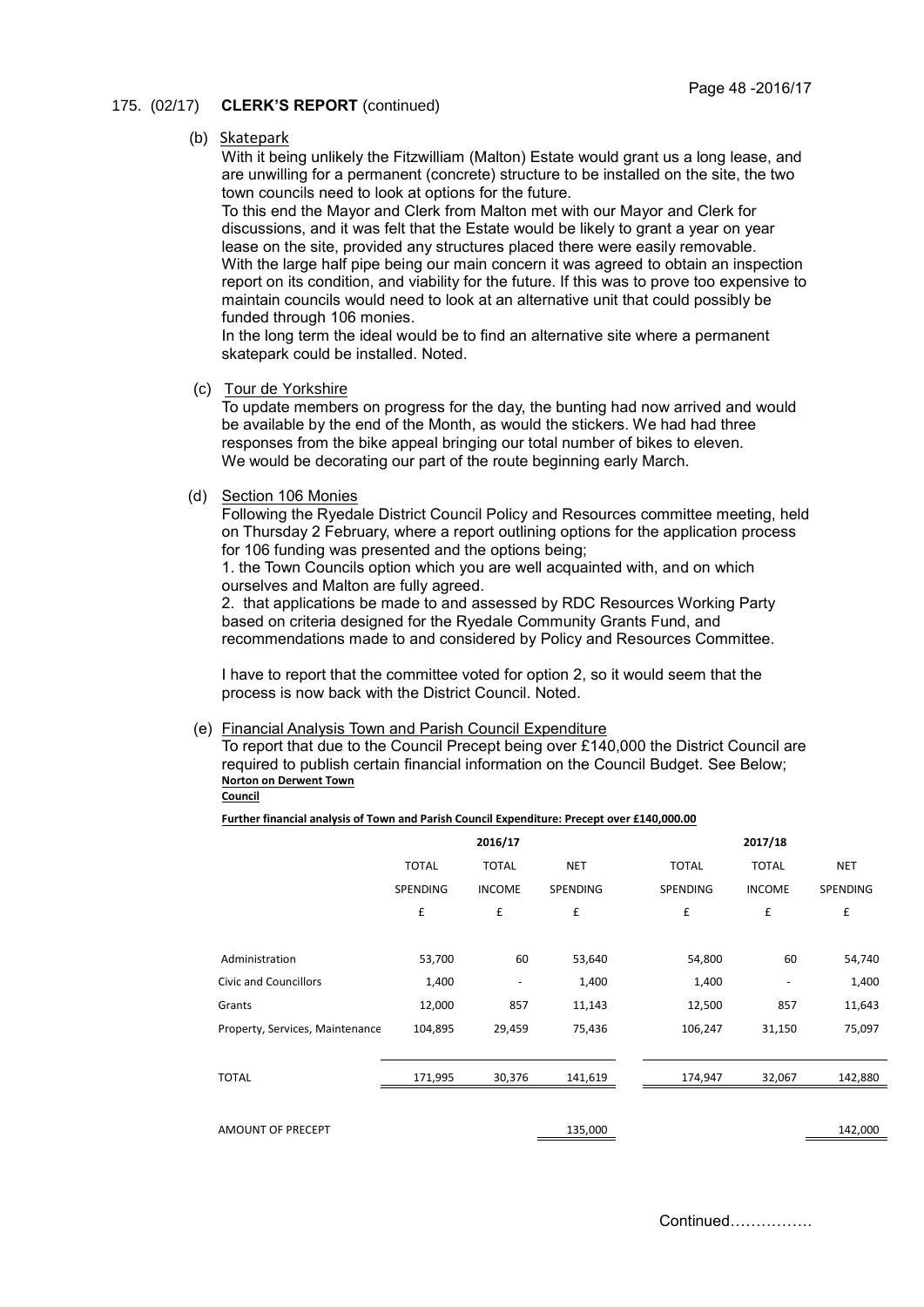### 175. (02/17) **CLERK'S REPORT** (continued)

#### (b) Skatepark

With it being unlikely the Fitzwilliam (Malton) Estate would grant us a long lease, and are unwilling for a permanent (concrete) structure to be installed on the site, the two town councils need to look at options for the future.

To this end the Mayor and Clerk from Malton met with our Mayor and Clerk for discussions, and it was felt that the Estate would be likely to grant a year on year lease on the site, provided any structures placed there were easily removable. With the large half pipe being our main concern it was agreed to obtain an inspection report on its condition, and viability for the future. If this was to prove too expensive to maintain councils would need to look at an alternative unit that could possibly be funded through 106 monies.

In the long term the ideal would be to find an alternative site where a permanent skatepark could be installed. Noted.

(c) Tour de Yorkshire

To update members on progress for the day, the bunting had now arrived and would be available by the end of the Month, as would the stickers. We had had three responses from the bike appeal bringing our total number of bikes to eleven. We would be decorating our part of the route beginning early March.

### (d) Section 106 Monies

Following the Ryedale District Council Policy and Resources committee meeting, held on Thursday 2 February, where a report outlining options for the application process for 106 funding was presented and the options being;

1. the Town Councils option which you are well acquainted with, and on which ourselves and Malton are fully agreed.

2. that applications be made to and assessed by RDC Resources Working Party based on criteria designed for the Ryedale Community Grants Fund, and recommendations made to and considered by Policy and Resources Committee.

I have to report that the committee voted for option 2, so it would seem that the process is now back with the District Council. Noted.

#### (e) Financial Analysis Town and Parish Council Expenditure

To report that due to the Council Precept being over £140,000 the District Council are required to publish certain financial information on the Council Budget. See Below; **Norton on Derwent Town Council**

#### **Further financial analysis of Town and Parish Council Expenditure: Precept over £140,000.00**

|                                 |              | 2016/17                  |                    |              | 2017/18                  |            |  |
|---------------------------------|--------------|--------------------------|--------------------|--------------|--------------------------|------------|--|
|                                 | <b>TOTAL</b> | <b>TOTAL</b>             | <b>NET</b>         | <b>TOTAL</b> | <b>TOTAL</b>             | <b>NET</b> |  |
|                                 | SPENDING     | <b>INCOME</b>            | SPENDING           | SPENDING     | <b>INCOME</b>            | SPENDING   |  |
|                                 | £            | £                        | $\pmb{\mathsf{f}}$ | £            | £                        | £          |  |
|                                 |              |                          |                    |              |                          |            |  |
| Administration                  | 53,700       | 60                       | 53,640             | 54,800       | 60                       | 54,740     |  |
| <b>Civic and Councillors</b>    | 1,400        | $\overline{\phantom{a}}$ | 1,400              | 1,400        | $\overline{\phantom{a}}$ | 1,400      |  |
| Grants                          | 12,000       | 857                      | 11,143             | 12,500       | 857                      | 11,643     |  |
| Property, Services, Maintenance | 104,895      | 29,459                   | 75,436             | 106,247      | 31,150                   | 75,097     |  |
| <b>TOTAL</b>                    | 171,995      | 30,376                   | 141,619            | 174,947      | 32,067                   | 142,880    |  |
|                                 |              |                          |                    |              |                          |            |  |
| AMOUNT OF PRECEPT               |              |                          | 135,000            |              |                          | 142,000    |  |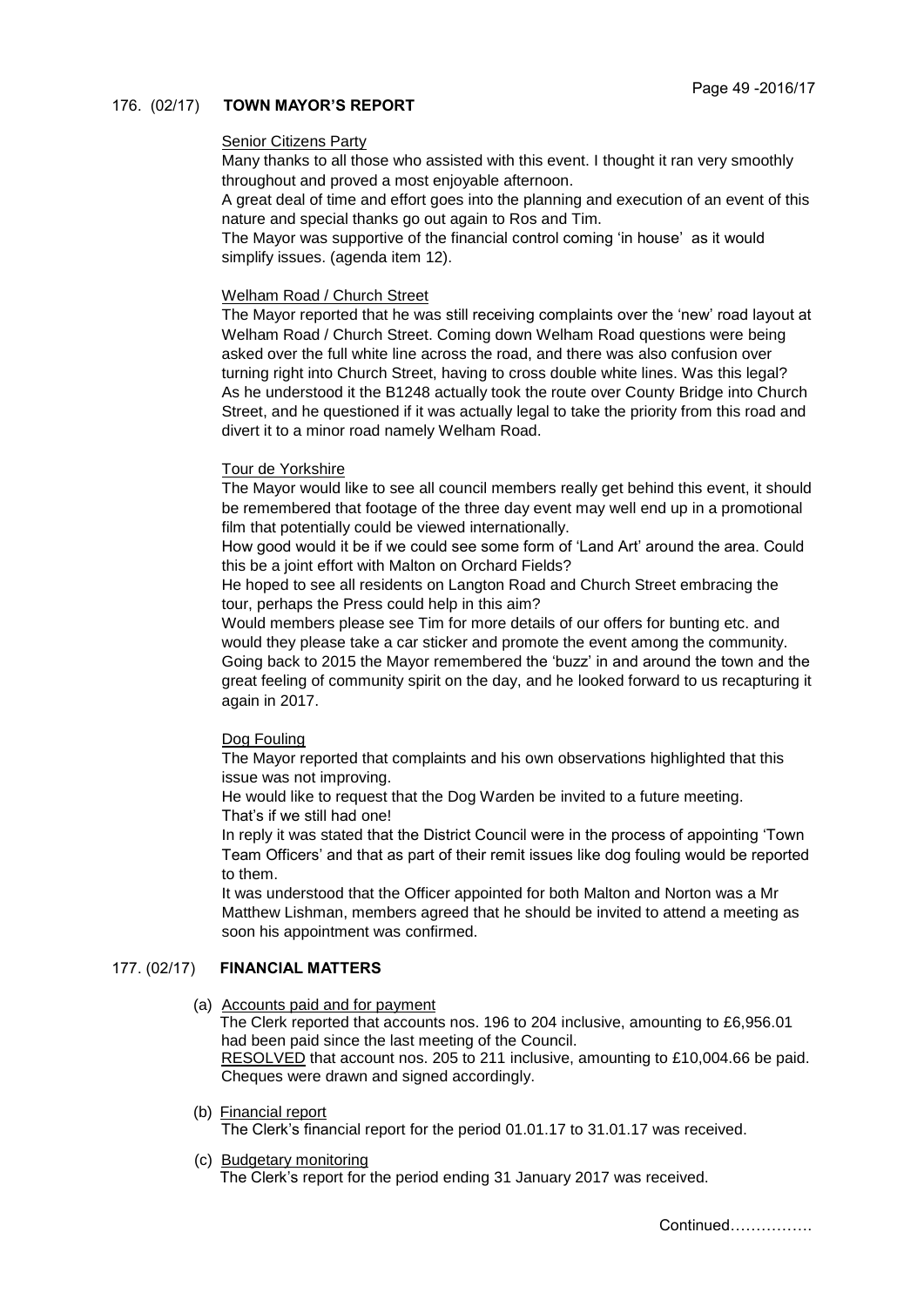# 176. (02/17) **TOWN MAYOR'S REPORT**

### Senior Citizens Party

Many thanks to all those who assisted with this event. I thought it ran very smoothly throughout and proved a most enjoyable afternoon.

A great deal of time and effort goes into the planning and execution of an event of this nature and special thanks go out again to Ros and Tim.

The Mayor was supportive of the financial control coming 'in house' as it would simplify issues. (agenda item 12).

### Welham Road / Church Street

The Mayor reported that he was still receiving complaints over the 'new' road layout at Welham Road / Church Street. Coming down Welham Road questions were being asked over the full white line across the road, and there was also confusion over turning right into Church Street, having to cross double white lines. Was this legal? As he understood it the B1248 actually took the route over County Bridge into Church Street, and he questioned if it was actually legal to take the priority from this road and divert it to a minor road namely Welham Road.

### Tour de Yorkshire

The Mayor would like to see all council members really get behind this event, it should be remembered that footage of the three day event may well end up in a promotional film that potentially could be viewed internationally.

How good would it be if we could see some form of 'Land Art' around the area. Could this be a joint effort with Malton on Orchard Fields?

He hoped to see all residents on Langton Road and Church Street embracing the tour, perhaps the Press could help in this aim?

Would members please see Tim for more details of our offers for bunting etc. and would they please take a car sticker and promote the event among the community. Going back to 2015 the Mayor remembered the 'buzz' in and around the town and the great feeling of community spirit on the day, and he looked forward to us recapturing it again in 2017.

# Dog Fouling

The Mayor reported that complaints and his own observations highlighted that this issue was not improving.

He would like to request that the Dog Warden be invited to a future meeting. That's if we still had one!

In reply it was stated that the District Council were in the process of appointing 'Town Team Officers' and that as part of their remit issues like dog fouling would be reported to them.

It was understood that the Officer appointed for both Malton and Norton was a Mr Matthew Lishman, members agreed that he should be invited to attend a meeting as soon his appointment was confirmed.

# 177. (02/17) **FINANCIAL MATTERS**

### (a) Accounts paid and for payment

The Clerk reported that accounts nos. 196 to 204 inclusive, amounting to £6,956.01 had been paid since the last meeting of the Council.

 RESOLVED that account nos. 205 to 211 inclusive, amounting to £10,004.66 be paid. Cheques were drawn and signed accordingly.

(b) Financial report

The Clerk's financial report for the period 01.01.17 to 31.01.17 was received.

(c) Budgetary monitoring

The Clerk's report for the period ending 31 January 2017 was received.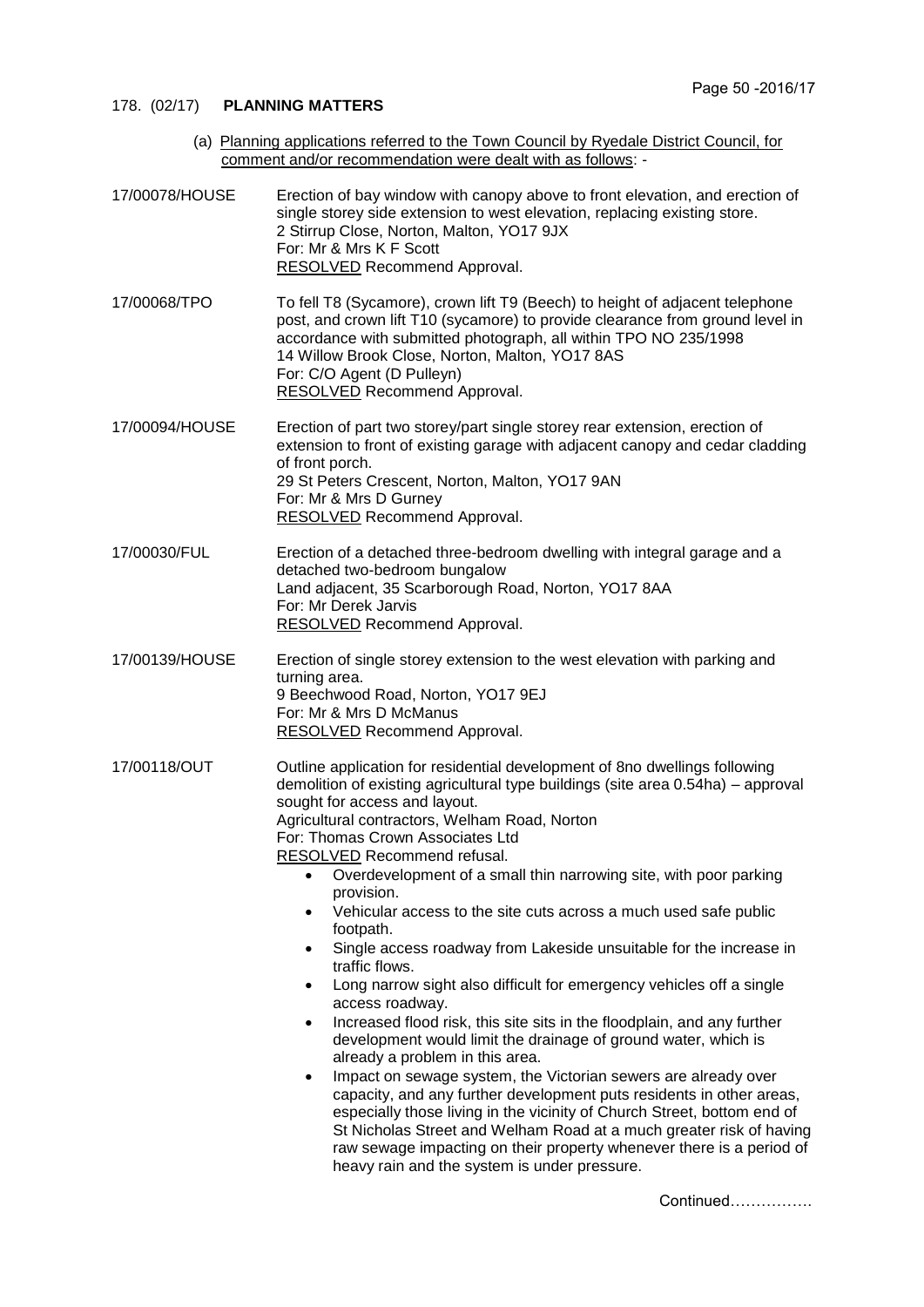# 178. (02/17) **PLANNING MATTERS**

(a) Planning applications referred to the Town Council by Ryedale District Council, for comment and/or recommendation were dealt with as follows: -

| 17/00078/HOUSE | Erection of bay window with canopy above to front elevation, and erection of<br>single storey side extension to west elevation, replacing existing store.<br>2 Stirrup Close, Norton, Malton, YO17 9JX<br>For: Mr & Mrs K F Scott<br>RESOLVED Recommend Approval.                                                                                                                                                                                                                                                                                                                                                                                                                                                                                                                                                                                                                                                                                                                                                                                                                                                                                                                                                                                                                                                                 |
|----------------|-----------------------------------------------------------------------------------------------------------------------------------------------------------------------------------------------------------------------------------------------------------------------------------------------------------------------------------------------------------------------------------------------------------------------------------------------------------------------------------------------------------------------------------------------------------------------------------------------------------------------------------------------------------------------------------------------------------------------------------------------------------------------------------------------------------------------------------------------------------------------------------------------------------------------------------------------------------------------------------------------------------------------------------------------------------------------------------------------------------------------------------------------------------------------------------------------------------------------------------------------------------------------------------------------------------------------------------|
| 17/00068/TPO   | To fell T8 (Sycamore), crown lift T9 (Beech) to height of adjacent telephone<br>post, and crown lift T10 (sycamore) to provide clearance from ground level in<br>accordance with submitted photograph, all within TPO NO 235/1998<br>14 Willow Brook Close, Norton, Malton, YO17 8AS<br>For: C/O Agent (D Pulleyn)<br><b>RESOLVED</b> Recommend Approval.                                                                                                                                                                                                                                                                                                                                                                                                                                                                                                                                                                                                                                                                                                                                                                                                                                                                                                                                                                         |
| 17/00094/HOUSE | Erection of part two storey/part single storey rear extension, erection of<br>extension to front of existing garage with adjacent canopy and cedar cladding<br>of front porch.<br>29 St Peters Crescent, Norton, Malton, YO17 9AN<br>For: Mr & Mrs D Gurney<br><b>RESOLVED Recommend Approval.</b>                                                                                                                                                                                                                                                                                                                                                                                                                                                                                                                                                                                                                                                                                                                                                                                                                                                                                                                                                                                                                                |
| 17/00030/FUL   | Erection of a detached three-bedroom dwelling with integral garage and a<br>detached two-bedroom bungalow<br>Land adjacent, 35 Scarborough Road, Norton, YO17 8AA<br>For: Mr Derek Jarvis<br><b>RESOLVED Recommend Approval.</b>                                                                                                                                                                                                                                                                                                                                                                                                                                                                                                                                                                                                                                                                                                                                                                                                                                                                                                                                                                                                                                                                                                  |
| 17/00139/HOUSE | Erection of single storey extension to the west elevation with parking and<br>turning area.<br>9 Beechwood Road, Norton, YO17 9EJ<br>For: Mr & Mrs D McManus<br><b>RESOLVED</b> Recommend Approval.                                                                                                                                                                                                                                                                                                                                                                                                                                                                                                                                                                                                                                                                                                                                                                                                                                                                                                                                                                                                                                                                                                                               |
| 17/00118/OUT   | Outline application for residential development of 8no dwellings following<br>demolition of existing agricultural type buildings (site area 0.54ha) – approval<br>sought for access and layout.<br>Agricultural contractors, Welham Road, Norton<br>For: Thomas Crown Associates Ltd<br>RESOLVED Recommend refusal.<br>• Overdevelopment of a small thin narrowing site, with poor parking<br>provision.<br>Vehicular access to the site cuts across a much used safe public<br>$\bullet$<br>footpath.<br>Single access roadway from Lakeside unsuitable for the increase in<br>٠<br>traffic flows.<br>Long narrow sight also difficult for emergency vehicles off a single<br>$\bullet$<br>access roadway.<br>Increased flood risk, this site sits in the floodplain, and any further<br>$\bullet$<br>development would limit the drainage of ground water, which is<br>already a problem in this area.<br>Impact on sewage system, the Victorian sewers are already over<br>٠<br>capacity, and any further development puts residents in other areas,<br>especially those living in the vicinity of Church Street, bottom end of<br>St Nicholas Street and Welham Road at a much greater risk of having<br>raw sewage impacting on their property whenever there is a period of<br>heavy rain and the system is under pressure. |

Continued…………….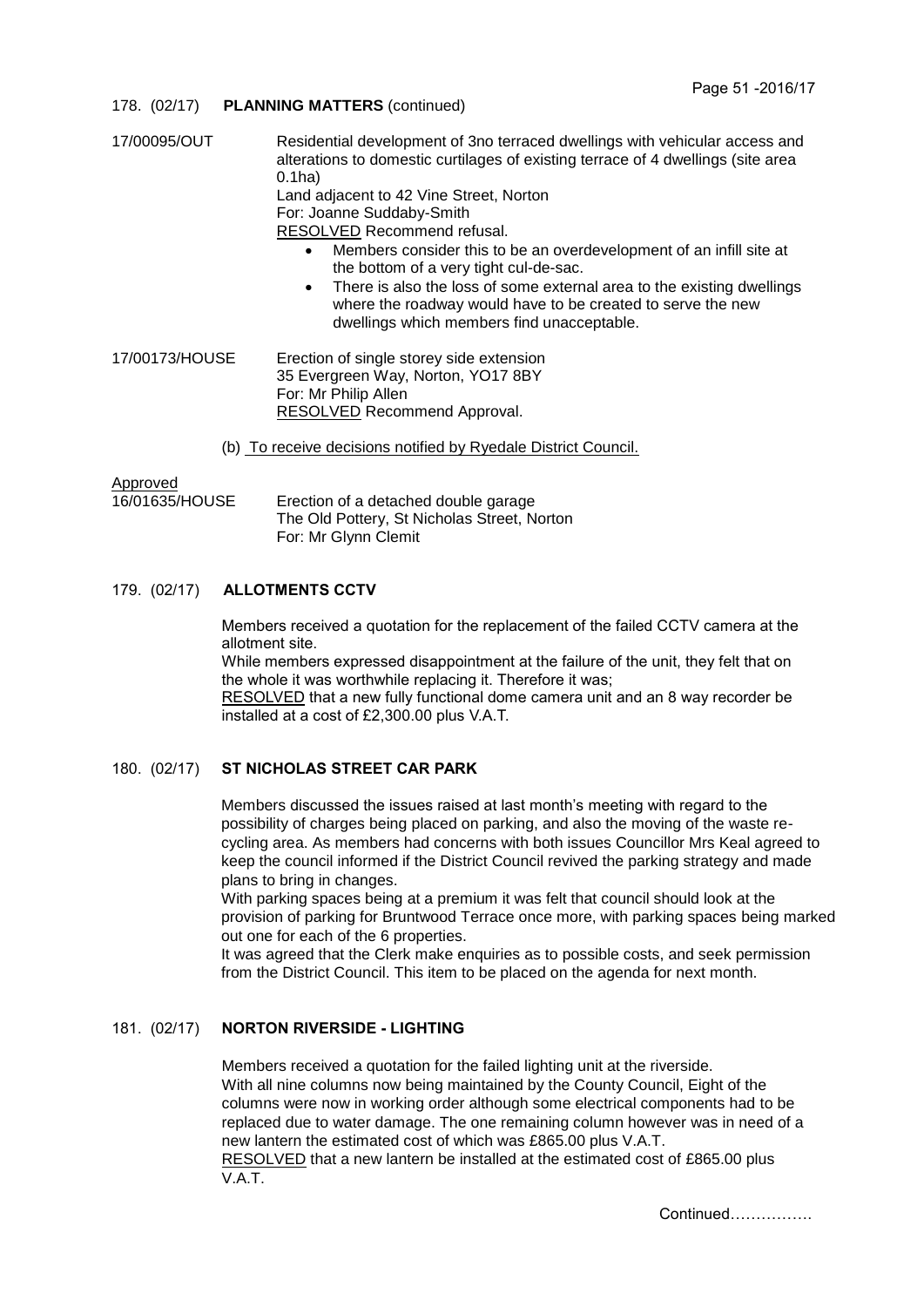### 178. (02/17) **PLANNING MATTERS** (continued)

| 17/00095/OUT   | Residential development of 3no terraced dwellings with vehicular access and<br>alterations to domestic curtilages of existing terrace of 4 dwellings (site area<br>$0.1$ ha $)$<br>Land adjacent to 42 Vine Street, Norton<br>For: Joanne Suddaby-Smith<br>RESOLVED Recommend refusal.<br>Members consider this to be an overdevelopment of an infill site at<br>$\bullet$<br>the bottom of a very tight cul-de-sac.<br>There is also the loss of some external area to the existing dwellings<br>$\bullet$<br>where the roadway would have to be created to serve the new<br>dwellings which members find unacceptable. |
|----------------|--------------------------------------------------------------------------------------------------------------------------------------------------------------------------------------------------------------------------------------------------------------------------------------------------------------------------------------------------------------------------------------------------------------------------------------------------------------------------------------------------------------------------------------------------------------------------------------------------------------------------|
| 17/00173/HOUSE | Erection of single storey side extension<br>35 Evergreen Way, Norton, YO17 8BY<br>For: Mr Philip Allen<br>RESOLVED Recommend Approval.                                                                                                                                                                                                                                                                                                                                                                                                                                                                                   |
|                | (b) To receive decisions notified by Ryedale District Council.                                                                                                                                                                                                                                                                                                                                                                                                                                                                                                                                                           |
| Approved       |                                                                                                                                                                                                                                                                                                                                                                                                                                                                                                                                                                                                                          |

16/01635/HOUSE Erection of a detached double garage The Old Pottery, St Nicholas Street, Norton For: Mr Glynn Clemit

### 179. (02/17) **ALLOTMENTS CCTV**

Members received a quotation for the replacement of the failed CCTV camera at the allotment site.

While members expressed disappointment at the failure of the unit, they felt that on the whole it was worthwhile replacing it. Therefore it was;

RESOLVED that a new fully functional dome camera unit and an 8 way recorder be installed at a cost of £2,300.00 plus V.A.T.

### 180. (02/17) **ST NICHOLAS STREET CAR PARK**

Members discussed the issues raised at last month's meeting with regard to the possibility of charges being placed on parking, and also the moving of the waste recycling area. As members had concerns with both issues Councillor Mrs Keal agreed to keep the council informed if the District Council revived the parking strategy and made plans to bring in changes.

With parking spaces being at a premium it was felt that council should look at the provision of parking for Bruntwood Terrace once more, with parking spaces being marked out one for each of the 6 properties.

It was agreed that the Clerk make enquiries as to possible costs, and seek permission from the District Council. This item to be placed on the agenda for next month.

# 181. (02/17) **NORTON RIVERSIDE - LIGHTING**

Members received a quotation for the failed lighting unit at the riverside. With all nine columns now being maintained by the County Council, Eight of the columns were now in working order although some electrical components had to be replaced due to water damage. The one remaining column however was in need of a new lantern the estimated cost of which was £865.00 plus V.A.T. RESOLVED that a new lantern be installed at the estimated cost of £865.00 plus V.A.T.

Continued…………….